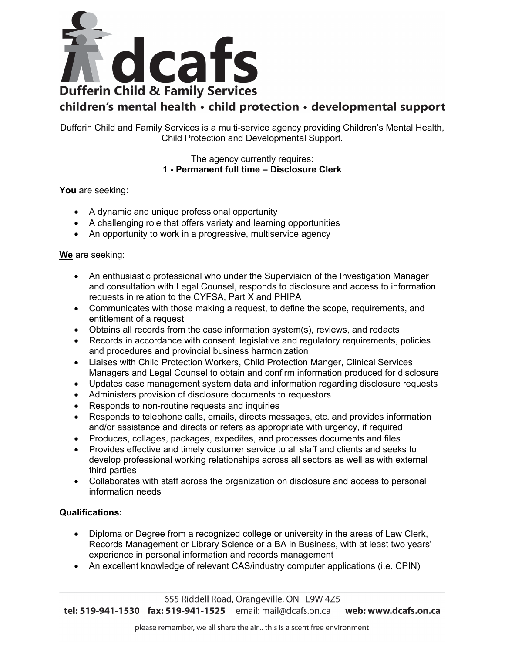

## children's mental health · child protection · developmental support

Dufferin Child and Family Services is a multi-service agency providing Children's Mental Health, Child Protection and Developmental Support.

> The agency currently requires: **1 - Permanent full time – Disclosure Clerk**

**You** are seeking:

- A dynamic and unique professional opportunity
- A challenging role that offers variety and learning opportunities
- An opportunity to work in a progressive, multiservice agency

**We** are seeking:

- An enthusiastic professional who under the Supervision of the Investigation Manager and consultation with Legal Counsel, responds to disclosure and access to information requests in relation to the CYFSA, Part X and PHIPA
- Communicates with those making a request, to define the scope, requirements, and entitlement of a request
- Obtains all records from the case information system(s), reviews, and redacts
- Records in accordance with consent, legislative and regulatory requirements, policies and procedures and provincial business harmonization
- Liaises with Child Protection Workers, Child Protection Manger, Clinical Services Managers and Legal Counsel to obtain and confirm information produced for disclosure
- Updates case management system data and information regarding disclosure requests
- Administers provision of disclosure documents to requestors
- Responds to non-routine requests and inquiries
- Responds to telephone calls, emails, directs messages, etc. and provides information and/or assistance and directs or refers as appropriate with urgency, if required
- Produces, collages, packages, expedites, and processes documents and files
- Provides effective and timely customer service to all staff and clients and seeks to develop professional working relationships across all sectors as well as with external third parties
- Collaborates with staff across the organization on disclosure and access to personal information needs

## **Qualifications:**

- Diploma or Degree from a recognized college or university in the areas of Law Clerk, Records Management or Library Science or a BA in Business, with at least two years' experience in personal information and records management
- An excellent knowledge of relevant CAS/industry computer applications (i.e. CPIN)